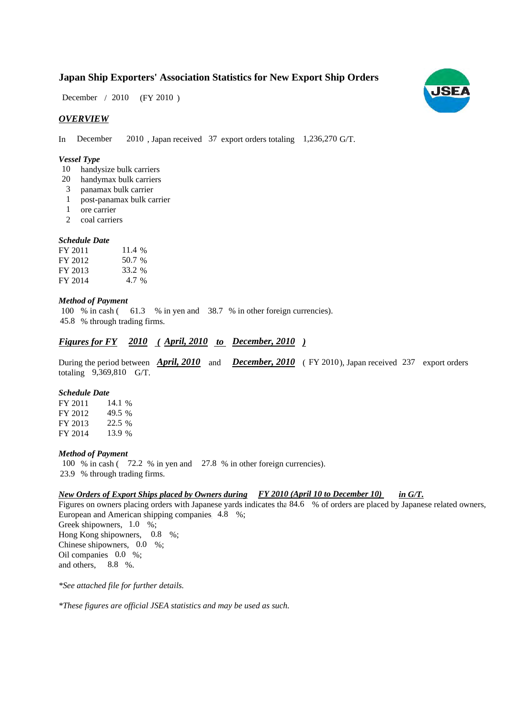## **Japan Ship Exporters' Association Statistics for New Export Ship Orders**

December / 2010 (FY 2010)

## *OVERVIEW*

In December 2010, Japan received 37 export orders totaling 1,236,270 G/T.

#### *Vessel Type*

- 10 handysize bulk carriers
- handymax bulk carriers 20
- panamax bulk carrier 3
- post-panamax bulk carrier 1
- ore carrier 1
- 2 coal carriers

#### *Schedule Date*

| FY 2011 | 11.4 % |
|---------|--------|
| FY 2012 | 50.7 % |
| FY 2013 | 33.2 % |
| FY 2014 | 4.7 %  |

#### *Method of Payment*

100 % in cash (61.3 % in yen and 38.7 % in other foreign currencies). % through trading firms. 45.8

## *<u>Figures for FY* 2010 (April, 2010 to December, 2010)</u>

During the period between **April, 2010** and **December, 2010** (FY 2010), Japan received 237 export orders totaling  $9,369,810$  G/T.

#### *Schedule Date*

FY 2011 FY 2012 FY 2013 FY 2014 22.5 % 13.9 14.1 % 49.5

#### *Method of Payment*

100 % in cash (72.2 % in yen and 27.8 % in other foreign currencies). % through trading firms. 23.9

### *New Orders of Export Ships placed by Owners during FY 2010 (April 10 to December 10) in G/T.*

Figures on owners placing orders with Japanese yards indicates tha 84.6 % of orders are placed by Japanese related owners, European and American shipping companies, 4.8 %; Greek shipowners,  $1.0\%$ ; Hong Kong shipowners, 0.8 %; Chinese shipowners,  $0.0\%$ ; Oil companies  $0.0\%$ ; and others, 8.8 %.

*\*See attached file for further details.*

*\*These figures are official JSEA statistics and may be used as such.*

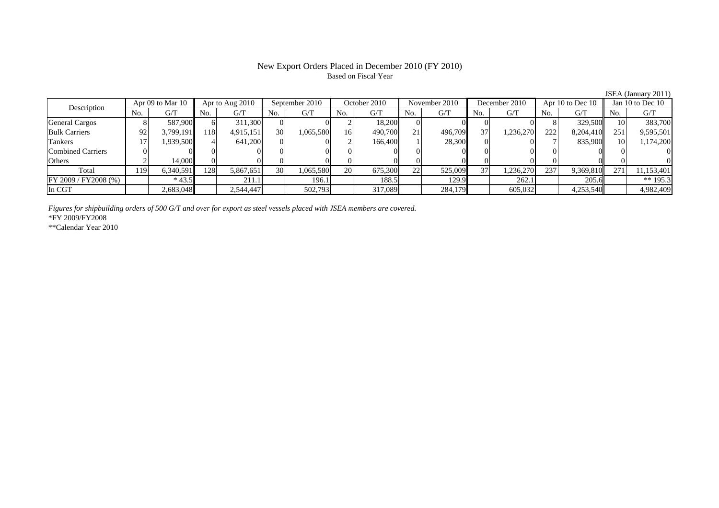## New Export Orders Placed in December 2010 (FY 2010) Based on Fiscal Year

|                          |                  |           |                 |           |                |           |              |         |               |         |               |           |                  |           |                    | JSEA (January 2011) |
|--------------------------|------------------|-----------|-----------------|-----------|----------------|-----------|--------------|---------|---------------|---------|---------------|-----------|------------------|-----------|--------------------|---------------------|
| Description              | Apr 09 to Mar 10 |           | Apr to Aug 2010 |           | September 2010 |           | October 2010 |         | November 2010 |         | December 2010 |           | Apr 10 to Dec 10 |           | Jan 10 to Dec $10$ |                     |
|                          | No.              | G/T       | No.             | G/T       | No.            | G/T       | No.          | G/T     | No.           | G/T     | No.           | G/T       | No.              | G/T       | No.                | G/T                 |
| <b>General Cargos</b>    |                  | 587,900   | 61              | 311,300   |                |           |              | 18,200  |               |         |               |           |                  | 329,500   |                    | 383,700             |
| <b>Bulk Carriers</b>     | 92               | 3,799,191 | 1181            | 4,915,151 | 30             | 1,065,580 | 16           | 490,700 | 21            | 496,709 | 37            | 1,236,270 | 222              | 8,204,410 | 251                | 9,595,501           |
| Tankers                  |                  | 1,939,500 |                 | 641,200   | $\Omega$       |           |              | 166,400 |               | 28,300  |               |           |                  | 835,900   | 10                 | 1,174,200           |
| <b>Combined Carriers</b> |                  |           |                 |           |                | $\Omega$  |              |         |               |         |               |           |                  |           |                    | 0                   |
| Others                   |                  | 14,000    |                 |           |                |           |              |         |               |         |               |           |                  |           |                    | 0                   |
| Total                    | 119              | 6,340,591 | 1281            | 5,867,651 | <b>30</b>      | 1,065,580 | 20           | 675,300 | 22            | 525,009 | 37            | 1,236,270 | 237              | 9,369,810 | 271                | 11,153,401          |
| FY 2009 / FY 2008 (%)    |                  | $*43.5$   |                 | 211.1     |                | 196.1     |              | 188.5   |               | 129.9   |               | 262.1     |                  | 205.6     |                    | ** 195.3            |
| In CGT                   |                  | 2,683,048 |                 | 2,544,447 |                | 502,793   |              | 317,089 |               | 284,179 |               | 605,032   |                  | 4,253,540 |                    | 4,982,409           |

*Figures for shipbuilding orders of 500 G/T and over for export as steel vessels placed with JSEA members are covered.* \*FY 2009/FY2008

\*\*Calendar Year 2010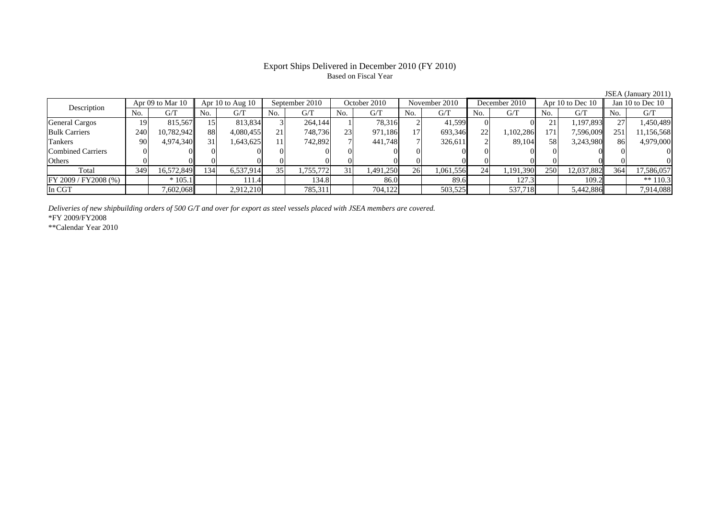## Export Ships Delivered in December 2010 (FY 2010) Based on Fiscal Year

|                          |                  |            |                      |           |                |           |              |           |               |           |               |           |                  |            |                    | JSEA (January 2011) |
|--------------------------|------------------|------------|----------------------|-----------|----------------|-----------|--------------|-----------|---------------|-----------|---------------|-----------|------------------|------------|--------------------|---------------------|
| Description              | Apr 09 to Mar 10 |            | Apr $10$ to Aug $10$ |           | September 2010 |           | October 2010 |           | November 2010 |           | December 2010 |           | Apr 10 to Dec 10 |            | Jan 10 to Dec $10$ |                     |
|                          | No.              | G/T        | No.                  | G/T       | No.            | G/T       | No.          | G/T       | No.           | G/T       | No.           | G/T       | No.              | G/T        | No.                | G/T                 |
| <b>General Cargos</b>    | 19               | 815,567    | 151                  | 813,834   |                | 264,144   |              | 78,316    |               | 41,599    |               |           | ∠⊥               | 1,197,893  |                    | 1,450,489           |
| <b>Bulk Carriers</b>     | 240              | 10,782,942 | 88                   | 4,080,455 | 21.            | 748,736   | 23           | 971,186   | 171           | 693,346   | <b>22</b>     | 1,102,286 | 171              | 7,596,009  | 251                | 11,156,568          |
| Tankers                  | 90               | 4,974,340  | 31                   | 1,643,625 |                | 742,892   |              | 441,748   |               | 326,611   |               | 89.104    | 58 <sup>1</sup>  | 3,243,980  | 86                 | 4,979,000           |
| <b>Combined Carriers</b> |                  |            |                      |           |                |           |              |           |               |           |               |           |                  |            |                    | 0                   |
| Others                   |                  |            |                      |           |                |           |              |           |               |           |               |           |                  |            |                    | $\Omega$            |
| Total                    | 349              | 16,572,849 | 134                  | 6,537,914 | 35             | 1,755,772 | 31           | 1,491,250 | 26            | 1,061,556 | 24            | 1,191,390 | 250              | 12,037,882 | 364                | 17,586,057          |
| FY 2009 / FY 2008 (%)    |                  | $*105.1$   |                      | 111.4     |                | 134.8     |              | 86.0      |               | 89.6      |               | 127.3     |                  | 109.2      |                    | ** $110.3$          |
| In CGT                   |                  | 7,602,068  |                      | 2,912,210 |                | 785,311   |              | 704,122   |               | 503,525   |               | 537,718   |                  | 5,442,886  |                    | 7,914,088           |

*Deliveries of new shipbuilding orders of 500 G/T and over for export as steel vessels placed with JSEA members are covered.*

\*FY 2009/FY2008

\*\*Calendar Year 2010